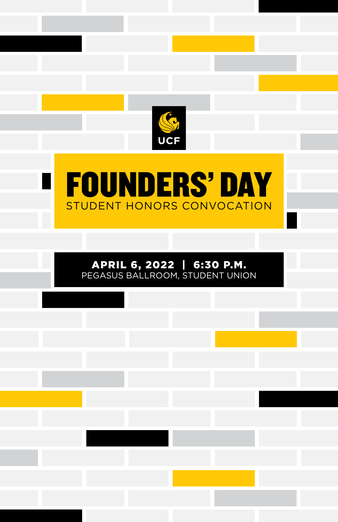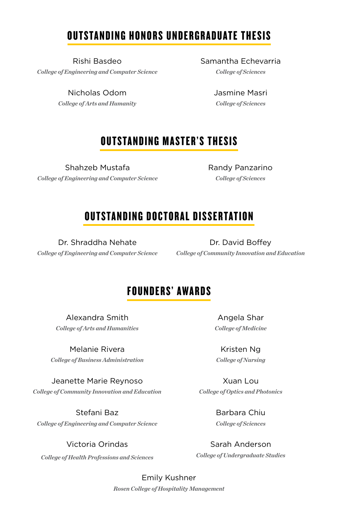## OUTSTANDING HONORS UNDERGRADUATE THESIS

Rishi Basdeo *College of Engineering and Computer Science*

> Nicholas Odom *College of Arts and Humanity*

Samantha Echevarria *College of Sciences*

> Jasmine Masri *College of Sciences*

## OUTSTANDING MASTER'S THESIS

Shahzeb Mustafa *College of Engineering and Computer Science* Randy Panzarino *College of Sciences*

### OUTSTANDING DOCTORAL DISSERTATION

Dr. Shraddha Nehate *College of Engineering and Computer Science*

Dr. David Boffey *College of Community Innovation and Education*

### FOUNDERS' AWARDS

Alexandra Smith *College of Arts and Humanities*

Melanie Rivera *College of Business Administration*

Jeanette Marie Reynoso *College of Community Innovation and Education*

Stefani Baz *College of Engineering and Computer Science*

Victoria Orindas *College of Health Professions and Sciences*

Angela Shar *College of Medicine*

Kristen Ng *College of Nursing*

Xuan Lou *College of Optics and Photonics*

> Barbara Chiu *College of Sciences*

Sarah Anderson *College of Undergraduate Studies*

Emily Kushner *Rosen College of Hospitality Management*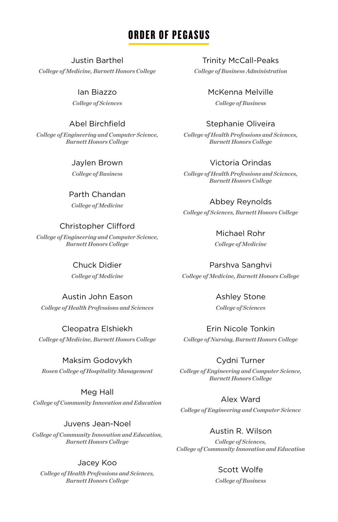## ORDER OF PEGASUS

#### Justin Barthel

*College of Medicine, Burnett Honors College*

Ian Biazzo *College of Sciences*

#### Abel Birchfield

*College of Engineering and Computer Science, Burnett Honors College*

#### Jaylen Brown

*College of Business*

#### Parth Chandan

*College of Medicine*

#### Christopher Clifford

*College of Engineering and Computer Science, Burnett Honors College*

#### Chuck Didier

*College of Medicine*

#### Austin John Eason

*College of Health Professions and Sciences*

#### Cleopatra Elshiekh *College of Medicine, Burnett Honors College*

#### Maksim Godovykh

*Rosen College of Hospitality Management*

#### Meg Hall

*College of Community Innovation and Education*

#### Juvens Jean-Noel

*College of Community Innovation and Education, Burnett Honors College*

#### Jacey Koo

*College of Health Professions and Sciences, Burnett Honors College*

Trinity McCall-Peaks *College of Business Administration*

McKenna Melville

*College of Business*

#### Stephanie Oliveira

*College of Health Professions and Sciences, Burnett Honors College*

#### Victoria Orindas

*College of Health Professions and Sciences, Burnett Honors College*

#### Abbey Reynolds

*College of Sciences, Burnett Honors College*

Michael Rohr *College of Medicine*

Parshva Sanghvi *College of Medicine, Burnett Honors College*

> Ashley Stone *College of Sciences*

Erin Nicole Tonkin *College of Nursing, Burnett Honors College*

#### Cydni Turner

*College of Engineering and Computer Science, Burnett Honors College*

#### Alex Ward

*College of Engineering and Computer Science*

Austin R. Wilson

*College of Sciences, College of Community Innovation and Education*

#### Scott Wolfe

*College of Business*